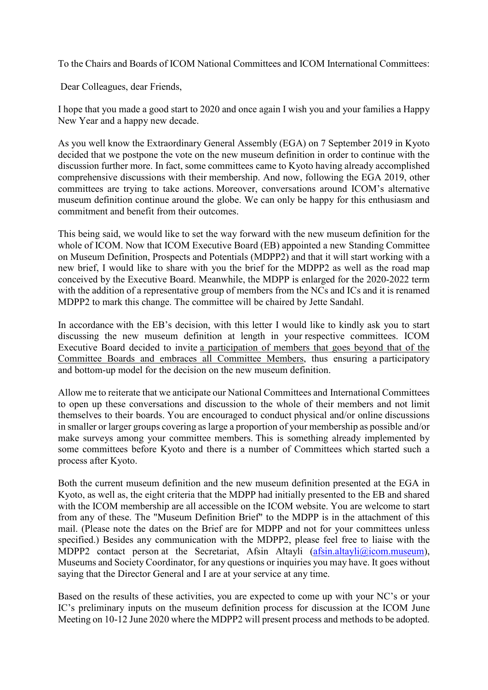To the Chairs and Boards of ICOM National Committees and ICOM International Committees:

Dear Colleagues, dear Friends,

I hope that you made a good start to 2020 and once again I wish you and your families a Happy New Year and a happy new decade.

As you well know the Extraordinary General Assembly (EGA) on 7 September 2019 in Kyoto decided that we postpone the vote on the new museum definition in order to continue with the discussion further more. In fact, some committees came to Kyoto having already accomplished comprehensive discussions with their membership. And now, following the EGA 2019, other committees are trying to take actions. Moreover, conversations around ICOM's alternative museum definition continue around the globe. We can only be happy for this enthusiasm and commitment and benefit from their outcomes.

This being said, we would like to set the way forward with the new museum definition for the whole of ICOM. Now that ICOM Executive Board (EB) appointed a new Standing Committee on Museum Definition, Prospects and Potentials (MDPP2) and that it will start working with a new brief, I would like to share with you the brief for the MDPP2 as well as the road map conceived by the Executive Board. Meanwhile, the MDPP is enlarged for the 2020-2022 term with the addition of a representative group of members from the NCs and ICs and it is renamed MDPP2 to mark this change. The committee will be chaired by Jette Sandahl.

In accordance with the EB's decision, with this letter I would like to kindly ask you to start discussing the new museum definition at length in your respective committees. ICOM Executive Board decided to invite a participation of members that goes beyond that of the Committee Boards and embraces all Committee Members, thus ensuring a participatory and bottom-up model for the decision on the new museum definition.

Allow me to reiterate that we anticipate our National Committees and International Committees to open up these conversations and discussion to the whole of their members and not limit themselves to their boards. You are encouraged to conduct physical and/or online discussions in smaller or larger groups covering aslarge a proportion of your membership as possible and/or make surveys among your committee members. This is something already implemented by some committees before Kyoto and there is a number of Committees which started such a process after Kyoto.

Both the current museum definition and the new museum definition presented at the EGA in Kyoto, as well as, the eight criteria that the MDPP had initially presented to the EB and shared with the ICOM membership are all accessible on the ICOM website. You are welcome to start from any of these. The "Museum Definition Brief" to the MDPP is in the attachment of this mail. (Please note the dates on the Brief are for MDPP and not for your committees unless specified.) Besides any communication with the MDPP2, please feel free to liaise with the MDPP2 contact person at the Secretariat, Afsin Altayli  $(a f s in.altayli@icom.museum)$ , Museums and Society Coordinator, for any questions or inquiries you may have. It goes without saying that the Director General and I are at your service at any time.

Based on the results of these activities, you are expected to come up with your NC's or your IC's preliminary inputs on the museum definition process for discussion at the ICOM June Meeting on 10-12 June 2020 where the MDPP2 will present process and methods to be adopted.